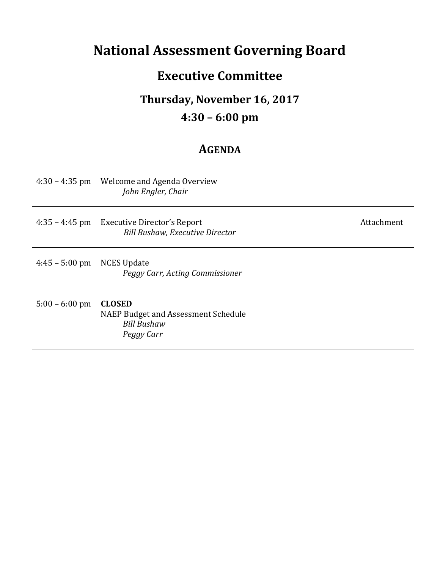## **National Assessment Governing Board**

### **Executive Committee**

## **Thursday, November 16, 2017**

#### **4:30 – 6:00 pm**

#### **AGENDA**

|                          | 4:30 – 4:35 pm Welcome and Agenda Overview<br>John Engler, Chair                         |            |
|--------------------------|------------------------------------------------------------------------------------------|------------|
|                          | 4:35 – 4:45 pm Executive Director's Report<br><b>Bill Bushaw, Executive Director</b>     | Attachment |
| $4:45 - 5:00 \text{ pm}$ | NCES Update<br>Peggy Carr, Acting Commissioner                                           |            |
| $5:00 - 6:00$ pm         | <b>CLOSED</b><br>NAEP Budget and Assessment Schedule<br><b>Bill Bushaw</b><br>Peggy Carr |            |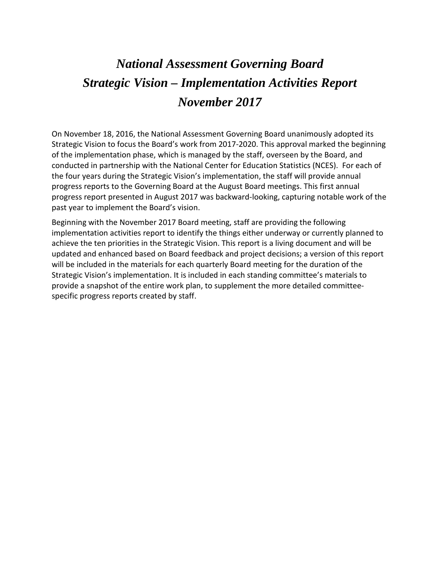# *November 2017 National Assessment Governing Board Strategic Vision – Implementation Activities Report*

 Strategic Vision to focus the Board's work from 2017-2020. This approval marked the beginning of the implementation phase, which is managed by the staff, overseen by the Board, and the four years during the Strategic Vision's implementation, the staff will provide annual progress reports to the Governing Board at the August Board meetings. This first annual On November 18, 2016, the National Assessment Governing Board unanimously adopted its conducted in partnership with the National Center for Education Statistics (NCES). For each of progress report presented in August 2017 was backward-looking, capturing notable work of the past year to implement the Board's vision.

 Beginning with the November 2017 Board meeting, staff are providing the following implementation activities report to identify the things either underway or currently planned to achieve the ten priorities in the Strategic Vision. This report is a living document and will be updated and enhanced based on Board feedback and project decisions; a version of this report will be included in the materials for each quarterly Board meeting for the duration of the Strategic Vision's implementation. It is included in each standing committee's materials to provide a snapshot of the entire work plan, to supplement the more detailed committeespecific progress reports created by staff.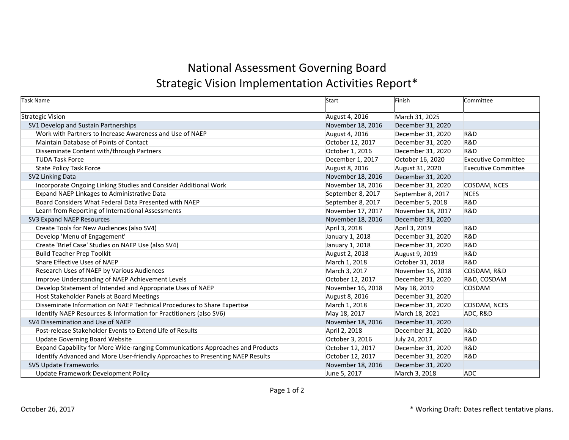### National Assessment Governing Board Strategic Vision Implementation Activities Report\*

| Task Name                                                                      | Start             | Finish            | Committee                  |
|--------------------------------------------------------------------------------|-------------------|-------------------|----------------------------|
| Strategic Vision                                                               | August 4, 2016    | March 31, 2025    |                            |
| SV1 Develop and Sustain Partnerships                                           | November 18, 2016 | December 31, 2020 |                            |
| Work with Partners to Increase Awareness and Use of NAEP                       | August 4, 2016    | December 31, 2020 | <b>R&amp;D</b>             |
| Maintain Database of Points of Contact                                         | October 12, 2017  | December 31, 2020 | <b>R&amp;D</b>             |
| Disseminate Content with/through Partners                                      | October 1, 2016   | December 31, 2020 | R&D                        |
| <b>TUDA Task Force</b>                                                         | December 1, 2017  | October 16, 2020  | <b>Executive Committee</b> |
| <b>State Policy Task Force</b>                                                 | August 8, 2016    | August 31, 2020   | <b>Executive Committee</b> |
| SV2 Linking Data                                                               | November 18, 2016 | December 31, 2020 |                            |
| Incorporate Ongoing Linking Studies and Consider Additional Work               | November 18, 2016 | December 31, 2020 | COSDAM, NCES               |
| Expand NAEP Linkages to Administrative Data                                    | September 8, 2017 | September 8, 2017 | <b>NCES</b>                |
| Board Considers What Federal Data Presented with NAEP                          | September 8, 2017 | December 5, 2018  | R&D                        |
| Learn from Reporting of International Assessments                              | November 17, 2017 | November 18, 2017 | R&D                        |
| SV3 Expand NAEP Resources                                                      | November 18, 2016 | December 31, 2020 |                            |
| Create Tools for New Audiences (also SV4)                                      | April 3, 2018     | April 3, 2019     | <b>R&amp;D</b>             |
| Develop 'Menu of Engagement'                                                   | January 1, 2018   | December 31, 2020 | R&D                        |
| Create 'Brief Case' Studies on NAEP Use (also SV4)                             | January 1, 2018   | December 31, 2020 | <b>R&amp;D</b>             |
| <b>Build Teacher Prep Toolkit</b>                                              | August 2, 2018    | August 9, 2019    | R&D                        |
| Share Effective Uses of NAEP                                                   | March 1, 2018     | October 31, 2018  | <b>R&amp;D</b>             |
| Research Uses of NAEP by Various Audiences                                     | March 3, 2017     | November 16, 2018 | COSDAM, R&D                |
| Improve Understanding of NAEP Achievement Levels                               | October 12, 2017  | December 31, 2020 | R&D, COSDAM                |
| Develop Statement of Intended and Appropriate Uses of NAEP                     | November 16, 2018 | May 18, 2019      | <b>COSDAM</b>              |
| Host Stakeholder Panels at Board Meetings                                      | August 8, 2016    | December 31, 2020 |                            |
| Disseminate Information on NAEP Technical Procedures to Share Expertise        | March 1, 2018     | December 31, 2020 | COSDAM, NCES               |
| Identify NAEP Resources & Information for Practitioners (also SV6)             | May 18, 2017      | March 18, 2021    | ADC, R&D                   |
| SV4 Dissemination and Use of NAEP                                              | November 18, 2016 | December 31, 2020 |                            |
| Post-release Stakeholder Events to Extend Life of Results                      | April 2, 2018     | December 31, 2020 | R&D                        |
| <b>Update Governing Board Website</b>                                          | October 3, 2016   | July 24, 2017     | R&D                        |
| Expand Capability for More Wide-ranging Communications Approaches and Products | October 12, 2017  | December 31, 2020 | <b>R&amp;D</b>             |
| Identify Advanced and More User-friendly Approaches to Presenting NAEP Results | October 12, 2017  | December 31, 2020 | R&D                        |
| SV5 Update Frameworks                                                          | November 18, 2016 | December 31, 2020 |                            |
| Update Framework Development Policy                                            | June 5, 2017      | March 3, 2018     | <b>ADC</b>                 |